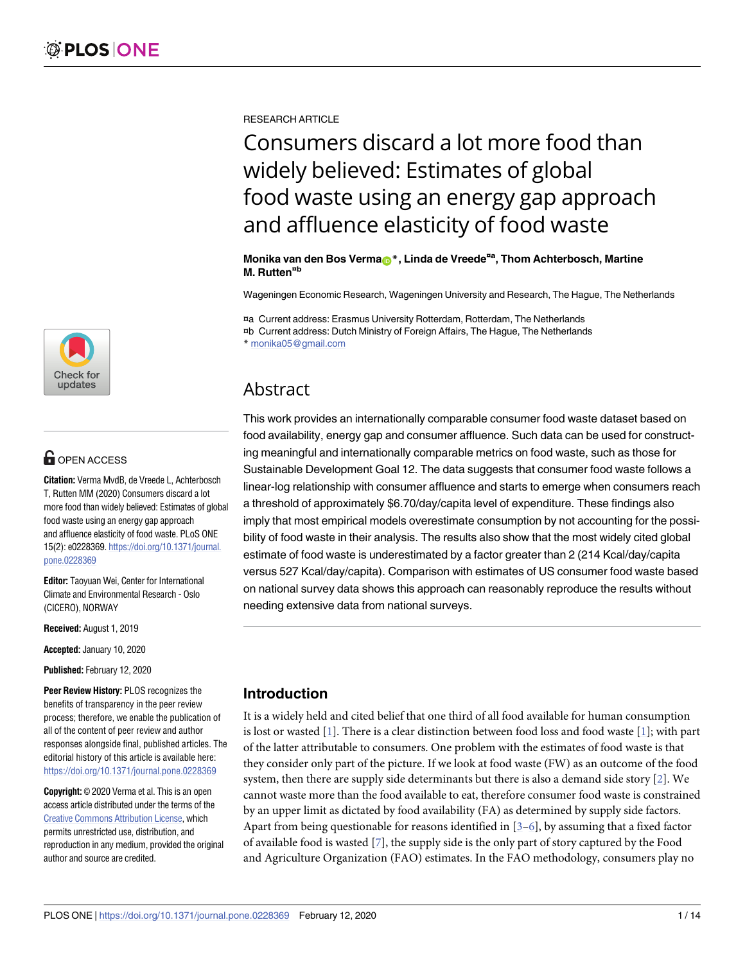

# $\blacksquare$  OPEN ACCESS

**Citation:** Verma MvdB, de Vreede L, Achterbosch T, Rutten MM (2020) Consumers discard a lot more food than widely believed: Estimates of global food waste using an energy gap approach and affluence elasticity of food waste. PLoS ONE 15(2): e0228369. [https://doi.org/10.1371/journal.](https://doi.org/10.1371/journal.pone.0228369) [pone.0228369](https://doi.org/10.1371/journal.pone.0228369)

**Editor:** Taoyuan Wei, Center for International Climate and Environmental Research - Oslo (CICERO), NORWAY

**Received:** August 1, 2019

**Accepted:** January 10, 2020

**Published:** February 12, 2020

**Peer Review History:** PLOS recognizes the benefits of transparency in the peer review process; therefore, we enable the publication of all of the content of peer review and author responses alongside final, published articles. The editorial history of this article is available here: <https://doi.org/10.1371/journal.pone.0228369>

**Copyright:** © 2020 Verma et al. This is an open access article distributed under the terms of the Creative Commons [Attribution](http://creativecommons.org/licenses/by/4.0/) License, which permits unrestricted use, distribution, and reproduction in any medium, provided the original author and source are credited.

<span id="page-0-0"></span>RESEARCH ARTICLE

# Consumers discard a lot more food than widely believed: Estimates of global food waste using an energy gap approach and affluence elasticity of food waste

**Monika van den Bos Verma[ID](http://orcid.org/0000-0001-9393-6171)\*, Linda de Vreede¤<sup>a</sup> , Thom Achterbosch, Martine M. Rutten¤<sup>b</sup>**

Wageningen Economic Research, Wageningen University and Research, The Hague, The Netherlands

¤a Current address: Erasmus University Rotterdam, Rotterdam, The Netherlands

¤b Current address: Dutch Ministry of Foreign Affairs, The Hague, The Netherlands

\* monika05@gmail.com

# Abstract

This work provides an internationally comparable consumer food waste dataset based on food availability, energy gap and consumer affluence. Such data can be used for constructing meaningful and internationally comparable metrics on food waste, such as those for Sustainable Development Goal 12. The data suggests that consumer food waste follows a linear-log relationship with consumer affluence and starts to emerge when consumers reach a threshold of approximately \$6.70/day/capita level of expenditure. These findings also imply that most empirical models overestimate consumption by not accounting for the possibility of food waste in their analysis. The results also show that the most widely cited global estimate of food waste is underestimated by a factor greater than 2 (214 Kcal/day/capita versus 527 Kcal/day/capita). Comparison with estimates of US consumer food waste based on national survey data shows this approach can reasonably reproduce the results without needing extensive data from national surveys.

# **Introduction**

It is a widely held and cited belief that one third of all food available for human consumption is lost or wasted [[1](#page-12-0)]. There is a clear distinction between food loss and food waste [[1](#page-12-0)]; with part of the latter attributable to consumers. One problem with the estimates of food waste is that they consider only part of the picture. If we look at food waste (FW) as an outcome of the food system, then there are supply side determinants but there is also a demand side story [\[2\]](#page-12-0). We cannot waste more than the food available to eat, therefore consumer food waste is constrained by an upper limit as dictated by food availability (FA) as determined by supply side factors. Apart from being questionable for reasons identified in  $[3-6]$ , by assuming that a fixed factor of available food is wasted [[7](#page-12-0)], the supply side is the only part of story captured by the Food and Agriculture Organization (FAO) estimates. In the FAO methodology, consumers play no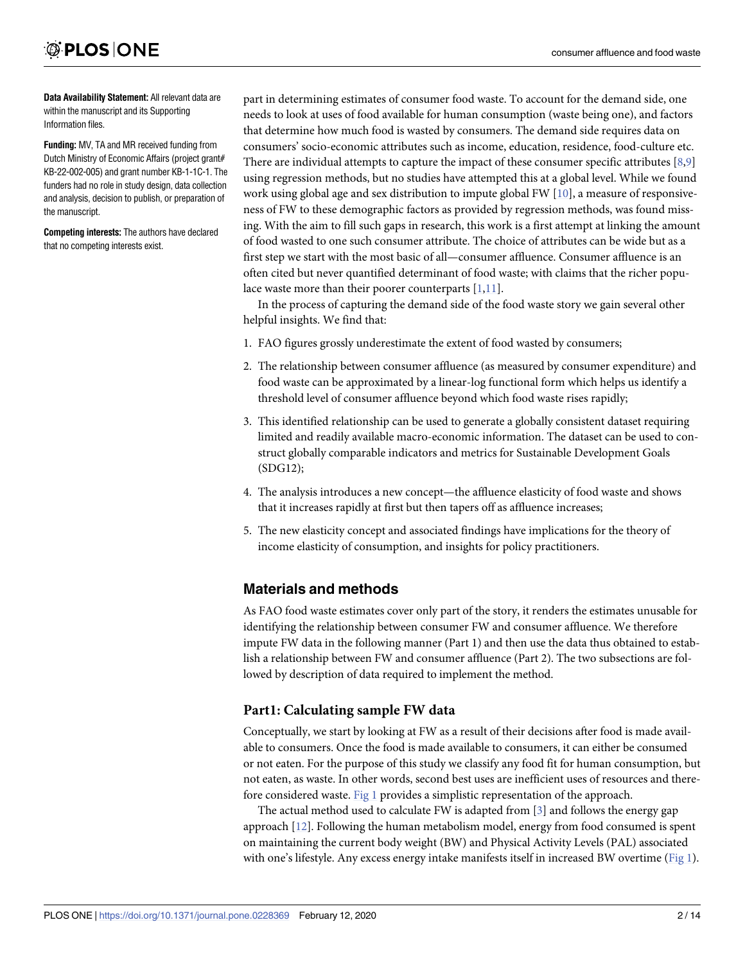<span id="page-1-0"></span>**Data Availability Statement:** All relevant data are within the manuscript and its Supporting Information files.

**Funding:** MV, TA and MR received funding from Dutch Ministry of Economic Affairs (project grant# KB-22-002-005) and grant number KB-1-1C-1. The funders had no role in study design, data collection and analysis, decision to publish, or preparation of the manuscript.

**Competing interests:** The authors have declared that no competing interests exist.

part in determining estimates of consumer food waste. To account for the demand side, one needs to look at uses of food available for human consumption (waste being one), and factors that determine how much food is wasted by consumers. The demand side requires data on consumers' socio-economic attributes such as income, education, residence, food-culture etc. There are individual attempts to capture the impact of these consumer specific attributes [[8,9\]](#page-12-0) using regression methods, but no studies have attempted this at a global level. While we found work using global age and sex distribution to impute global FW [[10](#page-12-0)], a measure of responsiveness of FW to these demographic factors as provided by regression methods, was found missing. With the aim to fill such gaps in research, this work is a first attempt at linking the amount of food wasted to one such consumer attribute. The choice of attributes can be wide but as a first step we start with the most basic of all—consumer affluence. Consumer affluence is an often cited but never quantified determinant of food waste; with claims that the richer populace waste more than their poorer counterparts [\[1,11\]](#page-12-0).

In the process of capturing the demand side of the food waste story we gain several other helpful insights. We find that:

- 1. FAO figures grossly underestimate the extent of food wasted by consumers;
- 2. The relationship between consumer affluence (as measured by consumer expenditure) and food waste can be approximated by a linear-log functional form which helps us identify a threshold level of consumer affluence beyond which food waste rises rapidly;
- 3. This identified relationship can be used to generate a globally consistent dataset requiring limited and readily available macro-economic information. The dataset can be used to construct globally comparable indicators and metrics for Sustainable Development Goals (SDG12);
- 4. The analysis introduces a new concept—the affluence elasticity of food waste and shows that it increases rapidly at first but then tapers off as affluence increases;
- 5. The new elasticity concept and associated findings have implications for the theory of income elasticity of consumption, and insights for policy practitioners.

# **Materials and methods**

As FAO food waste estimates cover only part of the story, it renders the estimates unusable for identifying the relationship between consumer FW and consumer affluence. We therefore impute FW data in the following manner (Part 1) and then use the data thus obtained to establish a relationship between FW and consumer affluence (Part 2). The two subsections are followed by description of data required to implement the method.

# **Part1: Calculating sample FW data**

Conceptually, we start by looking at FW as a result of their decisions after food is made available to consumers. Once the food is made available to consumers, it can either be consumed or not eaten. For the purpose of this study we classify any food fit for human consumption, but not eaten, as waste. In other words, second best uses are inefficient uses of resources and there-fore considered waste. [Fig](#page-2-0) 1 provides a simplistic representation of the approach.

The actual method used to calculate FW is adapted from [\[3](#page-12-0)] and follows the energy gap approach [[12](#page-12-0)]. Following the human metabolism model, energy from food consumed is spent on maintaining the current body weight (BW) and Physical Activity Levels (PAL) associated with one's lifestyle. Any excess energy intake manifests itself in increased BW overtime ([Fig](#page-2-0) 1).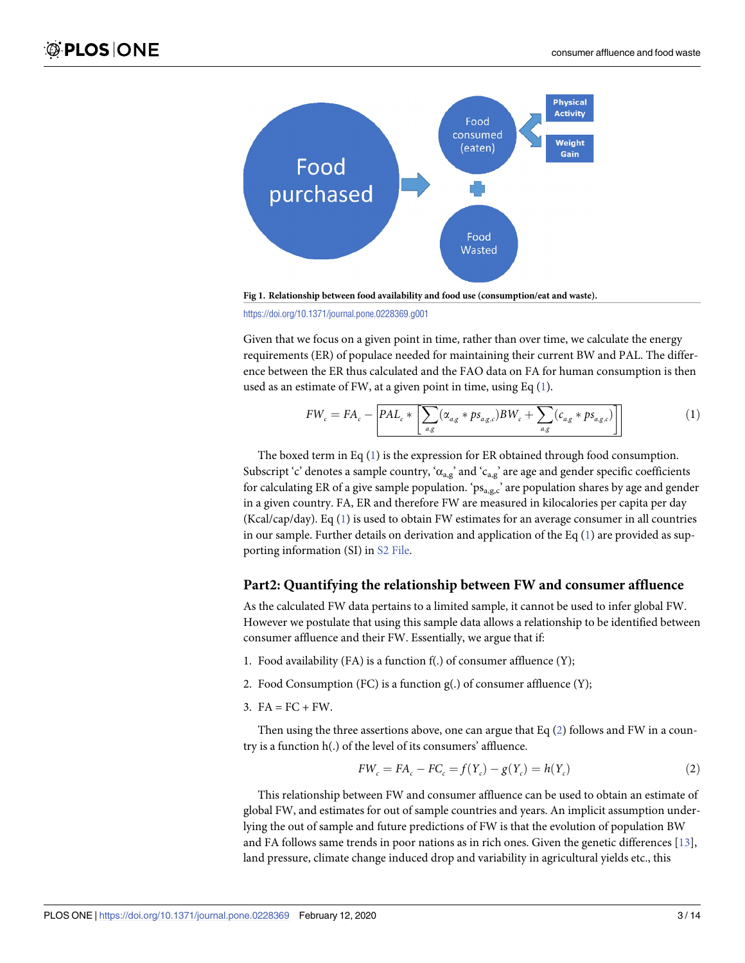<span id="page-2-0"></span>

**[Fig](#page-1-0) 1. Relationship between food availability and food use (consumption/eat and waste).**

<https://doi.org/10.1371/journal.pone.0228369.g001>

Given that we focus on a given point in time, rather than over time, we calculate the energy requirements (ER) of populace needed for maintaining their current BW and PAL. The difference between the ER thus calculated and the FAO data on FA for human consumption is then used as an estimate of FW, at a given point in time, using Eq  $(1)$ .

$$
FW_c = FA_c - \left[ PAL_c * \left[ \sum_{a,g} (\alpha_{a,g} * ps_{a,g,c}) BW_c + \sum_{a,g} (c_{a,g} * ps_{a,g,c}) \right] \right]
$$
 (1)

The boxed term in Eq  $(1)$  is the expression for ER obtained through food consumption. Subscript 'c' denotes a sample country, ' $\alpha_{\rm ag}$ ' and ' $\alpha_{\rm ag}$ ' are age and gender specific coefficients for calculating ER of a give sample population. 'ps<sub>a,g,c</sub>' are population shares by age and gender in a given country. FA, ER and therefore FW are measured in kilocalories per capita per day (Kcal/cap/day). Eq (1) is used to obtain FW estimates for an average consumer in all countries in our sample. Further details on derivation and application of the Eq  $(1)$  are provided as supporting information (SI) in S2 [File.](#page-11-0)

#### **Part2: Quantifying the relationship between FW and consumer affluence**

As the calculated FW data pertains to a limited sample, it cannot be used to infer global FW. However we postulate that using this sample data allows a relationship to be identified between consumer affluence and their FW. Essentially, we argue that if:

- 1. Food availability (FA) is a function f(.) of consumer affluence (Y);
- 2. Food Consumption (FC) is a function g(.) of consumer affluence (Y);
- $3. \text{FA} = \text{FC} + \text{FW}.$

Then using the three assertions above, one can argue that Eq (2) follows and FW in a country is a function h(.) of the level of its consumers' affluence.

$$
FW_c = FA_c - FC_c = f(Y_c) - g(Y_c) = h(Y_c)
$$
 (2)

This relationship between FW and consumer affluence can be used to obtain an estimate of global FW, and estimates for out of sample countries and years. An implicit assumption underlying the out of sample and future predictions of FW is that the evolution of population BW and FA follows same trends in poor nations as in rich ones. Given the genetic differences [[13](#page-12-0)], land pressure, climate change induced drop and variability in agricultural yields etc., this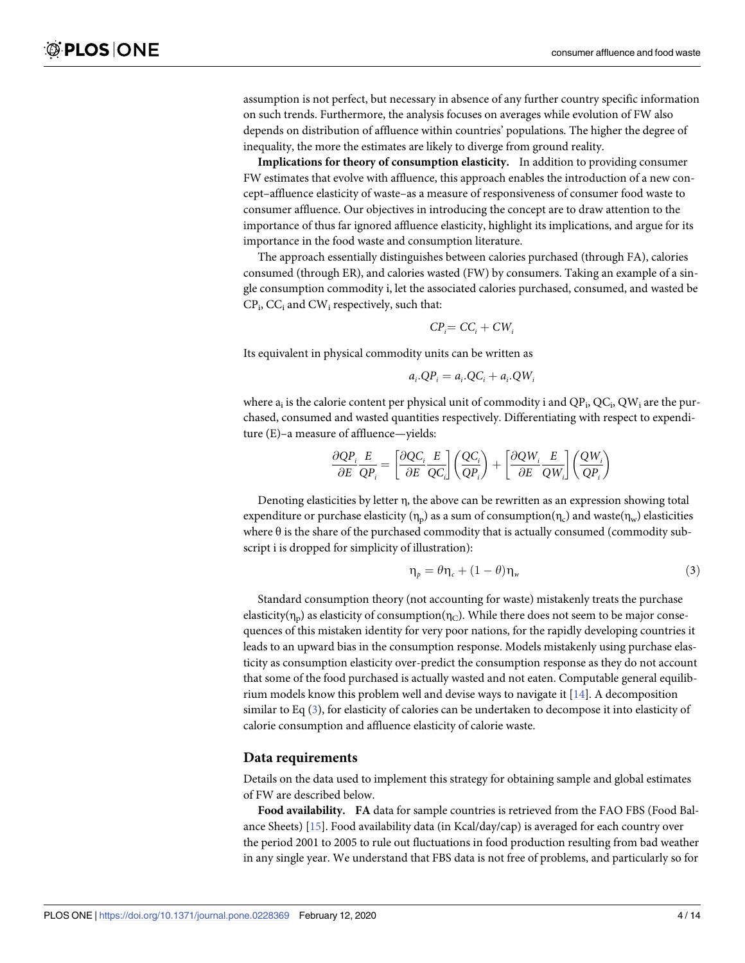<span id="page-3-0"></span>assumption is not perfect, but necessary in absence of any further country specific information on such trends. Furthermore, the analysis focuses on averages while evolution of FW also depends on distribution of affluence within countries' populations. The higher the degree of inequality, the more the estimates are likely to diverge from ground reality.

**Implications for theory of consumption elasticity.** In addition to providing consumer FW estimates that evolve with affluence, this approach enables the introduction of a new concept–affluence elasticity of waste–as a measure of responsiveness of consumer food waste to consumer affluence. Our objectives in introducing the concept are to draw attention to the importance of thus far ignored affluence elasticity, highlight its implications, and argue for its importance in the food waste and consumption literature.

The approach essentially distinguishes between calories purchased (through FA), calories consumed (through ER), and calories wasted (FW) by consumers. Taking an example of a single consumption commodity i, let the associated calories purchased, consumed, and wasted be  $CP_i$ ,  $CC_i$  and  $CW_i$  respectively, such that:

$$
CP_i = CC_i + CW_i
$$

Its equivalent in physical commodity units can be written as

$$
a_i.QP_i = a_i.QC_i + a_i.QW_i
$$

where  $a_i$  is the calorie content per physical unit of commodity i and  $QP_i$ ,  $QC_i$ ,  $QW_i$  are the purchased, consumed and wasted quantities respectively. Differentiating with respect to expenditure (E)–a measure of affluence—yields:

$$
\frac{\partial QP_i}{\partial E}\frac{E}{QP_i} = \left[\frac{\partial QC_i}{\partial E}\frac{E}{QC_i}\right]\left(\frac{QC_i}{QP_i}\right) + \left[\frac{\partial QW_i}{\partial E}\frac{E}{QW_i}\right]\left(\frac{QW_i}{QP_i}\right)
$$

Denoting elasticities by letter η, the above can be rewritten as an expression showing total expenditure or purchase elasticity  $(\eta_p)$  as a sum of consumption $(\eta_c)$  and waste $(\eta_w)$  elasticities where θ is the share of the purchased commodity that is actually consumed (commodity subscript i is dropped for simplicity of illustration):

$$
\eta_{p} = \theta \eta_{c} + (1 - \theta) \eta_{w} \tag{3}
$$

Standard consumption theory (not accounting for waste) mistakenly treats the purchase elasticity( $\eta_p$ ) as elasticity of consumption( $\eta_c$ ). While there does not seem to be major consequences of this mistaken identity for very poor nations, for the rapidly developing countries it leads to an upward bias in the consumption response. Models mistakenly using purchase elasticity as consumption elasticity over-predict the consumption response as they do not account that some of the food purchased is actually wasted and not eaten. Computable general equilibrium models know this problem well and devise ways to navigate it  $[14]$ . A decomposition similar to Eq (3), for elasticity of calories can be undertaken to decompose it into elasticity of calorie consumption and affluence elasticity of calorie waste.

#### **Data requirements**

Details on the data used to implement this strategy for obtaining sample and global estimates of FW are described below.

**Food availability. FA** data for sample countries is retrieved from the FAO FBS (Food Balance Sheets) [[15](#page-12-0)]. Food availability data (in Kcal/day/cap) is averaged for each country over the period 2001 to 2005 to rule out fluctuations in food production resulting from bad weather in any single year. We understand that FBS data is not free of problems, and particularly so for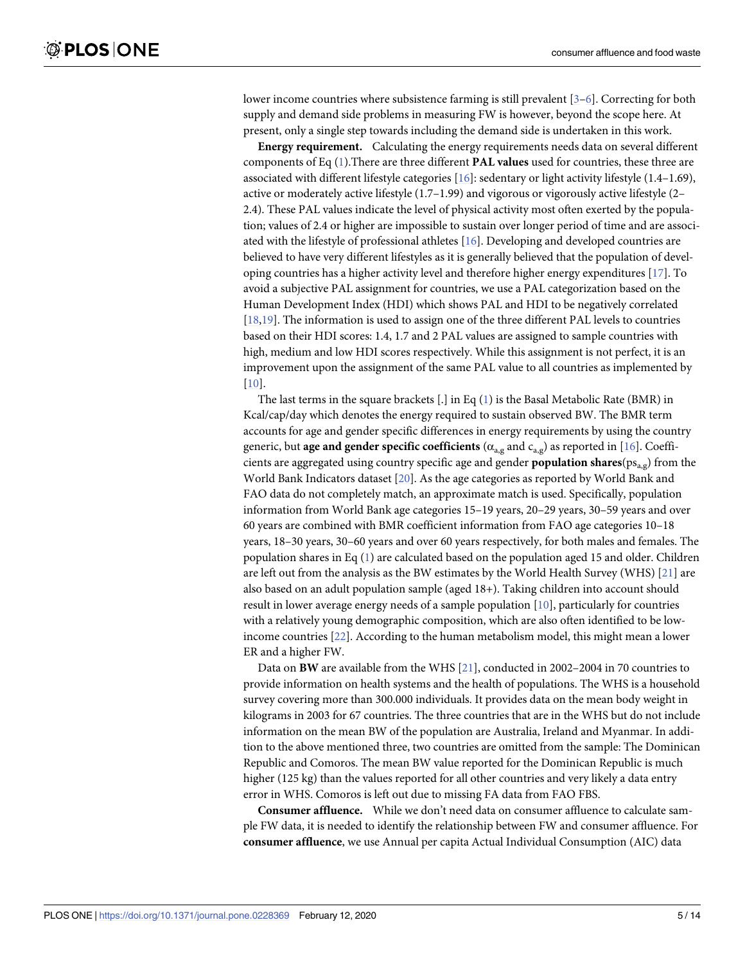<span id="page-4-0"></span>lower income countries where subsistence farming is still prevalent [[3](#page-12-0)–[6](#page-12-0)]. Correcting for both supply and demand side problems in measuring FW is however, beyond the scope here. At present, only a single step towards including the demand side is undertaken in this work.

**Energy requirement.** Calculating the energy requirements needs data on several different components of Eq [\(1\)](#page-2-0).There are three different **PAL values** used for countries, these three are associated with different lifestyle categories [[16](#page-12-0)]: sedentary or light activity lifestyle (1.4–1.69), active or moderately active lifestyle (1.7–1.99) and vigorous or vigorously active lifestyle (2– 2.4). These PAL values indicate the level of physical activity most often exerted by the population; values of 2.4 or higher are impossible to sustain over longer period of time and are associated with the lifestyle of professional athletes [\[16\]](#page-12-0). Developing and developed countries are believed to have very different lifestyles as it is generally believed that the population of developing countries has a higher activity level and therefore higher energy expenditures  $[17]$ . To avoid a subjective PAL assignment for countries, we use a PAL categorization based on the Human Development Index (HDI) which shows PAL and HDI to be negatively correlated [\[18,19\]](#page-12-0). The information is used to assign one of the three different PAL levels to countries based on their HDI scores: 1.4, 1.7 and 2 PAL values are assigned to sample countries with high, medium and low HDI scores respectively. While this assignment is not perfect, it is an improvement upon the assignment of the same PAL value to all countries as implemented by [\[10\]](#page-12-0).

The last terms in the square brackets  $[.]$  in Eq  $(1)$  is the Basal Metabolic Rate (BMR) in Kcal/cap/day which denotes the energy required to sustain observed BW. The BMR term accounts for age and gender specific differences in energy requirements by using the country generic, but **age and gender specific coefficients** ( $\alpha_{a,g}$  and  $c_{a,g}$ ) as reported in [[16](#page-12-0)]. Coefficients are aggregated using country specific age and gender **population shares**(ps<sub>a,g</sub>) from the World Bank Indicators dataset [[20](#page-12-0)]. As the age categories as reported by World Bank and FAO data do not completely match, an approximate match is used. Specifically, population information from World Bank age categories 15–19 years, 20–29 years, 30–59 years and over 60 years are combined with BMR coefficient information from FAO age categories 10–18 years, 18–30 years, 30–60 years and over 60 years respectively, for both males and females. The population shares in Eq  $(1)$  $(1)$  $(1)$  are calculated based on the population aged 15 and older. Children are left out from the analysis as the BW estimates by the World Health Survey (WHS) [\[21\]](#page-12-0) are also based on an adult population sample (aged 18+). Taking children into account should result in lower average energy needs of a sample population  $[10]$  $[10]$  $[10]$ , particularly for countries with a relatively young demographic composition, which are also often identified to be lowincome countries [[22](#page-12-0)]. According to the human metabolism model, this might mean a lower ER and a higher FW.

Data on **BW** are available from the WHS [[21](#page-12-0)], conducted in 2002–2004 in 70 countries to provide information on health systems and the health of populations. The WHS is a household survey covering more than 300.000 individuals. It provides data on the mean body weight in kilograms in 2003 for 67 countries. The three countries that are in the WHS but do not include information on the mean BW of the population are Australia, Ireland and Myanmar. In addition to the above mentioned three, two countries are omitted from the sample: The Dominican Republic and Comoros. The mean BW value reported for the Dominican Republic is much higher (125 kg) than the values reported for all other countries and very likely a data entry error in WHS. Comoros is left out due to missing FA data from FAO FBS.

**Consumer affluence.** While we don't need data on consumer affluence to calculate sample FW data, it is needed to identify the relationship between FW and consumer affluence. For **consumer affluence**, we use Annual per capita Actual Individual Consumption (AIC) data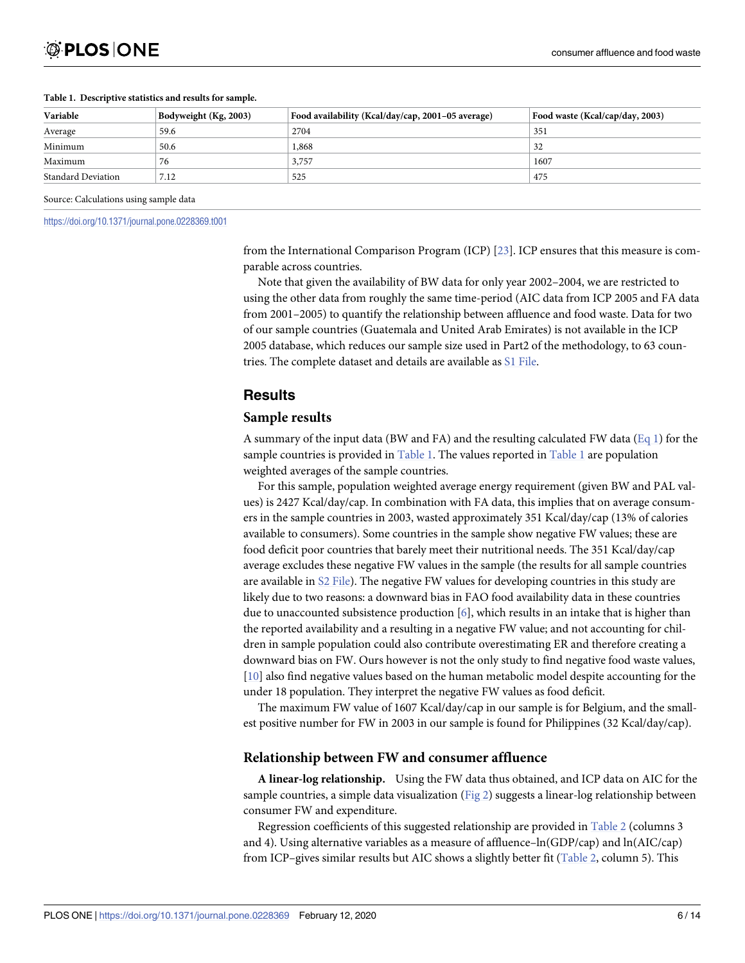| Variable                  | Bodyweight (Kg, 2003) | Food availability (Kcal/day/cap, 2001–05 average) | Food waste (Kcal/cap/day, 2003) |
|---------------------------|-----------------------|---------------------------------------------------|---------------------------------|
| Average                   | 59.6                  | 2704                                              | 351                             |
| Minimum                   | 50.6                  | 1,868                                             | 32                              |
| Maximum                   | 76                    | 3,757                                             | 1607                            |
| <b>Standard Deviation</b> | 7.12                  | 525                                               | 475                             |

#### <span id="page-5-0"></span>**Table 1. Descriptive statistics and results for sample.**

Source: Calculations using sample data

<https://doi.org/10.1371/journal.pone.0228369.t001>

from the International Comparison Program (ICP) [\[23](#page-13-0)]. ICP ensures that this measure is comparable across countries.

Note that given the availability of BW data for only year 2002–2004, we are restricted to using the other data from roughly the same time-period (AIC data from ICP 2005 and FA data from 2001–2005) to quantify the relationship between affluence and food waste. Data for two of our sample countries (Guatemala and United Arab Emirates) is not available in the ICP 2005 database, which reduces our sample size used in Part2 of the methodology, to 63 countries. The complete dataset and details are available as S1 [File.](#page-11-0)

### **Results**

#### **Sample results**

A summary of the input data (BW and FA) and the resulting calculated FW data ( $Eq 1$ ) for the sample countries is provided in  $Table 1$ . The values reported in  $Table 1$  are population weighted averages of the sample countries.

For this sample, population weighted average energy requirement (given BW and PAL values) is 2427 Kcal/day/cap. In combination with FA data, this implies that on average consumers in the sample countries in 2003, wasted approximately 351 Kcal/day/cap (13% of calories available to consumers). Some countries in the sample show negative FW values; these are food deficit poor countries that barely meet their nutritional needs. The 351 Kcal/day/cap average excludes these negative FW values in the sample (the results for all sample countries are available in S2 [File\)](#page-11-0). The negative FW values for developing countries in this study are likely due to two reasons: a downward bias in FAO food availability data in these countries due to unaccounted subsistence production [\[6\]](#page-12-0), which results in an intake that is higher than the reported availability and a resulting in a negative FW value; and not accounting for children in sample population could also contribute overestimating ER and therefore creating a downward bias on FW. Ours however is not the only study to find negative food waste values, [\[10\]](#page-12-0) also find negative values based on the human metabolic model despite accounting for the under 18 population. They interpret the negative FW values as food deficit.

The maximum FW value of 1607 Kcal/day/cap in our sample is for Belgium, and the smallest positive number for FW in 2003 in our sample is found for Philippines (32 Kcal/day/cap).

#### **Relationship between FW and consumer affluence**

**A linear-log relationship.** Using the FW data thus obtained, and ICP data on AIC for the sample countries, a simple data visualization [\(Fig](#page-6-0) 2) suggests a linear-log relationship between consumer FW and expenditure.

Regression coefficients of this suggested relationship are provided in [Table](#page-6-0) 2 (columns 3 and 4). Using alternative variables as a measure of affluence–ln(GDP/cap) and ln(AIC/cap) from ICP–gives similar results but AIC shows a slightly better fit ([Table](#page-6-0) 2, column 5). This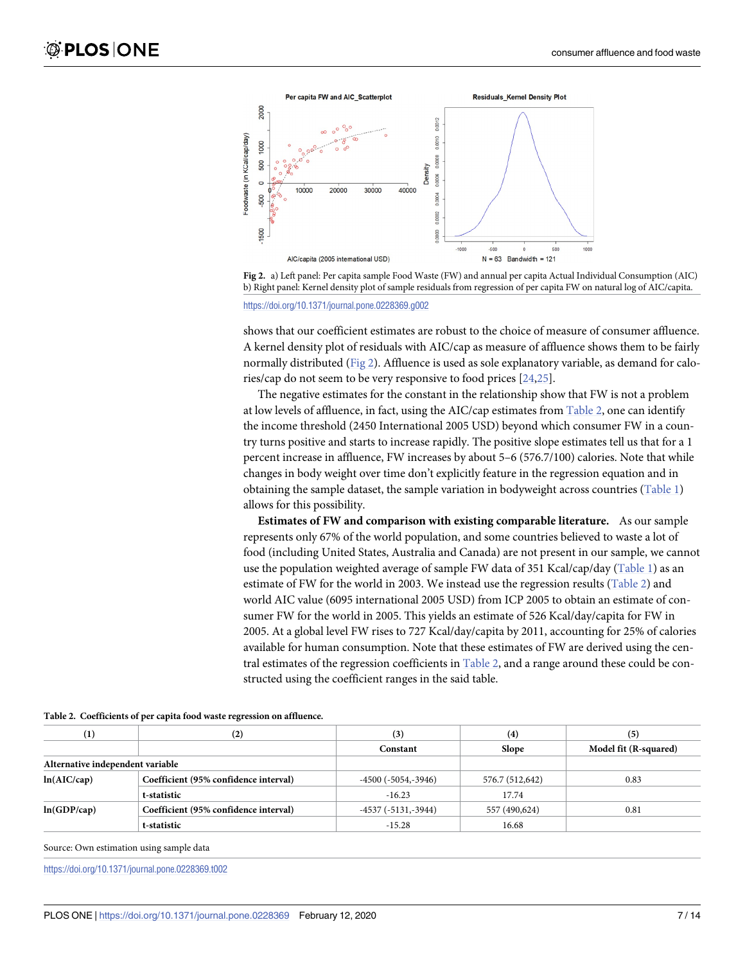<span id="page-6-0"></span>



<https://doi.org/10.1371/journal.pone.0228369.g002>

shows that our coefficient estimates are robust to the choice of measure of consumer affluence. A kernel density plot of residuals with AIC/cap as measure of affluence shows them to be fairly normally distributed (Fig 2). Affluence is used as sole explanatory variable, as demand for calories/cap do not seem to be very responsive to food prices [[24](#page-13-0),[25](#page-13-0)].

The negative estimates for the constant in the relationship show that FW is not a problem at low levels of affluence, in fact, using the AIC/cap estimates from Table 2, one can identify the income threshold (2450 International 2005 USD) beyond which consumer FW in a country turns positive and starts to increase rapidly. The positive slope estimates tell us that for a 1 percent increase in affluence, FW increases by about 5–6 (576.7/100) calories. Note that while changes in body weight over time don't explicitly feature in the regression equation and in obtaining the sample dataset, the sample variation in bodyweight across countries ([Table](#page-5-0) 1) allows for this possibility.

**Estimates of FW and comparison with existing comparable literature.** As our sample represents only 67% of the world population, and some countries believed to waste a lot of food (including United States, Australia and Canada) are not present in our sample, we cannot use the population weighted average of sample FW data of 351 Kcal/cap/day ([Table](#page-5-0) 1) as an estimate of FW for the world in 2003. We instead use the regression results (Table 2) and world AIC value (6095 international 2005 USD) from ICP 2005 to obtain an estimate of consumer FW for the world in 2005. This yields an estimate of 526 Kcal/day/capita for FW in 2005. At a global level FW rises to 727 Kcal/day/capita by 2011, accounting for 25% of calories available for human consumption. Note that these estimates of FW are derived using the central estimates of the regression coefficients in Table 2, and a range around these could be constructed using the coefficient ranges in the said table.

| $\bf(1)$                         | (2)                                   | (3)                        | $\left( 4\right)$ | (5)                   |
|----------------------------------|---------------------------------------|----------------------------|-------------------|-----------------------|
|                                  |                                       | Constant                   | <b>Slope</b>      | Model fit (R-squared) |
| Alternative independent variable |                                       |                            |                   |                       |
| ln(AIC/cap)                      | Coefficient (95% confidence interval) | $-4500$ ( $-5054, -3946$ ) | 576.7 (512,642)   | 0.83                  |
|                                  | t-statistic                           | $-16.23$                   | 17.74             |                       |
| ln(GDP/cap)                      | Coefficient (95% confidence interval) | $-4537(-5131,-3944)$       | 557 (490,624)     | 0.81                  |
|                                  | t-statistic                           | $-15.28$                   | 16.68             |                       |

**[Table](#page-5-0) 2. Coefficients of per capita food waste regression on affluence.**

Source: Own estimation using sample data

<https://doi.org/10.1371/journal.pone.0228369.t002>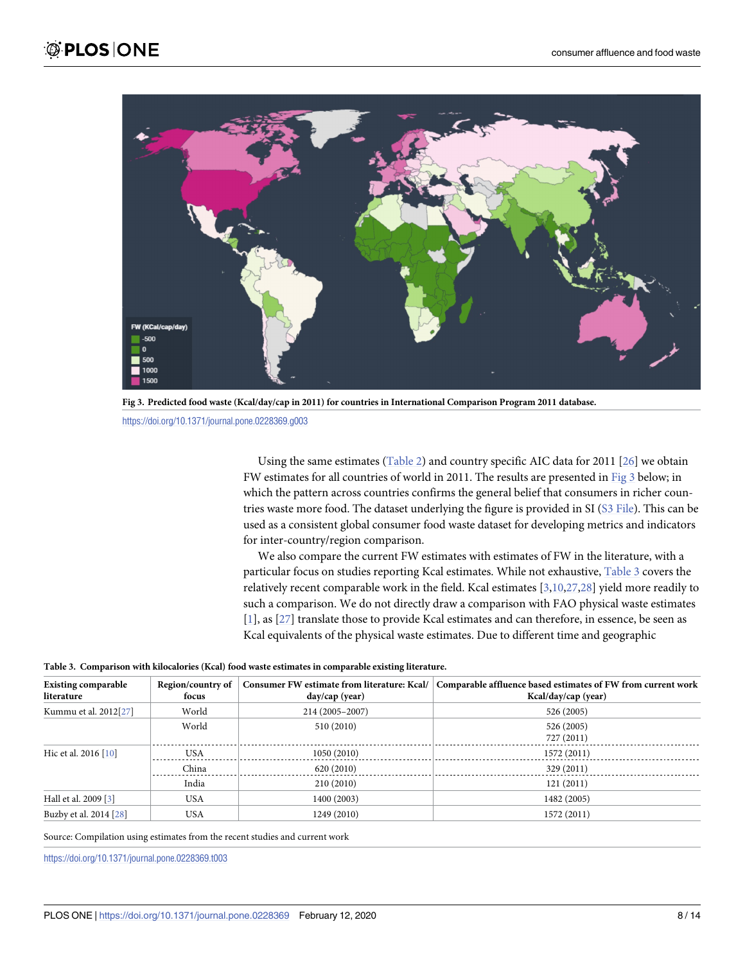<span id="page-7-0"></span>

Fig 3. Predicted food waste (Kcal/day/cap in 2011) for countries in International Comparison Program 2011 database.

<https://doi.org/10.1371/journal.pone.0228369.g003>

Using the same estimates ([Table](#page-6-0) 2) and country specific AIC data for 2011 [[26](#page-13-0)] we obtain FW estimates for all countries of world in 2011. The results are presented in Fig 3 below; in which the pattern across countries confirms the general belief that consumers in richer countries waste more food. The dataset underlying the figure is provided in SI (S3 [File\)](#page-11-0). This can be used as a consistent global consumer food waste dataset for developing metrics and indicators for inter-country/region comparison.

We also compare the current FW estimates with estimates of FW in the literature, with a particular focus on studies reporting Kcal estimates. While not exhaustive, Table 3 covers the relatively recent comparable work in the field. Kcal estimates [[3,10](#page-12-0),[27,28\]](#page-13-0) yield more readily to such a comparison. We do not directly draw a comparison with FAO physical waste estimates [\[1](#page-12-0)], as [[27](#page-13-0)] translate those to provide Kcal estimates and can therefore, in essence, be seen as Kcal equivalents of the physical waste estimates. Due to different time and geographic

|  | Table 3. Comparison with kilocalories (Kcal) food waste estimates in comparable existing literature. |
|--|------------------------------------------------------------------------------------------------------|
|--|------------------------------------------------------------------------------------------------------|

| <b>Existing comparable</b><br>literature | Region/country of<br>focus | Consumer FW estimate from literature: Kcal/<br>day/cap (year) | Comparable affluence based estimates of FW from current work<br>Kcal/day/cap (year) |
|------------------------------------------|----------------------------|---------------------------------------------------------------|-------------------------------------------------------------------------------------|
| Kummu et al. 2012[27]                    | World                      | 214 (2005-2007)                                               | 526 (2005)                                                                          |
|                                          | World                      | 510 (2010)                                                    | 526 (2005)<br>727 (2011)                                                            |
| Hic et al. 2016 [10]                     | <b>USA</b>                 | 1050(2010)                                                    | 1572 (2011)                                                                         |
|                                          | China                      | 620 (2010)                                                    | 329 (2011)                                                                          |
|                                          | India                      | 210 (2010)                                                    | 121(2011)                                                                           |
| Hall et al. 2009 [3]                     | <b>USA</b>                 | 1400 (2003)                                                   | 1482 (2005)                                                                         |
| Buzby et al. 2014 [28]                   | <b>USA</b>                 | 1249 (2010)                                                   | 1572 (2011)                                                                         |

Source: Compilation using estimates from the recent studies and current work

<https://doi.org/10.1371/journal.pone.0228369.t003>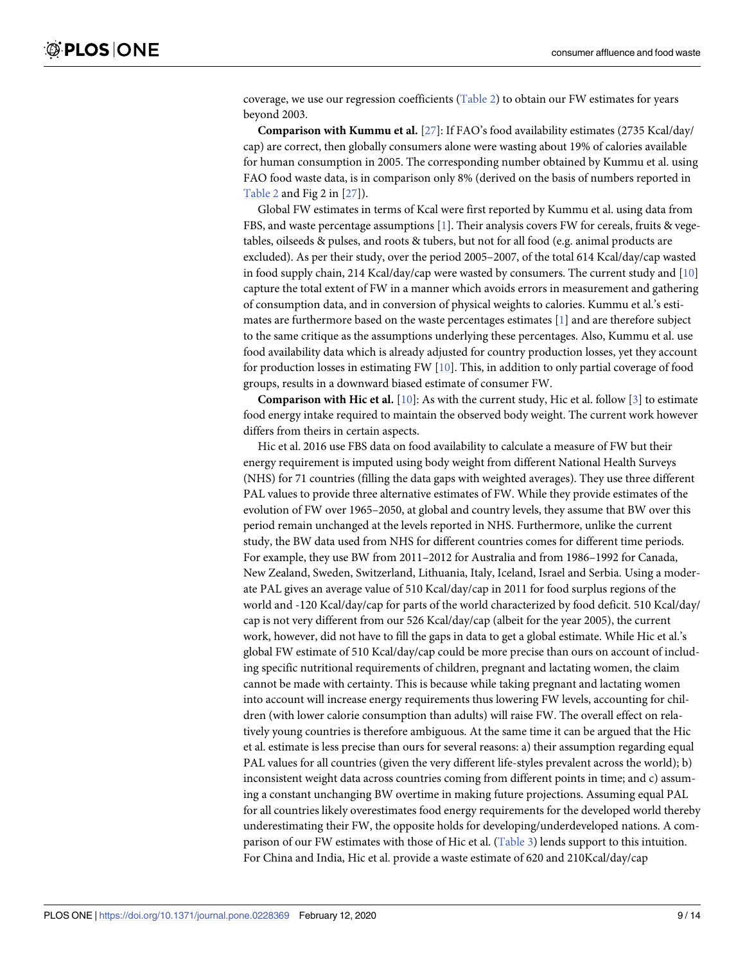coverage, we use our regression coefficients [\(Table](#page-6-0) 2) to obtain our FW estimates for years beyond 2003.

**Comparison with Kummu et al.** [\[27\]](#page-13-0): If FAO's food availability estimates (2735 Kcal/day/ cap) are correct, then globally consumers alone were wasting about 19% of calories available for human consumption in 2005. The corresponding number obtained by Kummu et al. using FAO food waste data, is in comparison only 8% (derived on the basis of numbers reported in [Table](#page-6-0) 2 and Fig 2 in [\[27\]](#page-13-0)).

Global FW estimates in terms of Kcal were first reported by Kummu et al. using data from FBS, and waste percentage assumptions [[1](#page-12-0)]. Their analysis covers FW for cereals, fruits & vegetables, oilseeds & pulses, and roots & tubers, but not for all food (e.g. animal products are excluded). As per their study, over the period 2005–2007, of the total 614 Kcal/day/cap wasted in food supply chain, 214 Kcal/day/cap were wasted by consumers. The current study and [\[10\]](#page-12-0) capture the total extent of FW in a manner which avoids errors in measurement and gathering of consumption data, and in conversion of physical weights to calories. Kummu et al.'s estimates are furthermore based on the waste percentages estimates [\[1](#page-12-0)] and are therefore subject to the same critique as the assumptions underlying these percentages. Also, Kummu et al. use food availability data which is already adjusted for country production losses, yet they account for production losses in estimating FW [[10](#page-12-0)]. This, in addition to only partial coverage of food groups, results in a downward biased estimate of consumer FW.

**Comparison with Hic et al.** [\[10\]](#page-12-0): As with the current study, Hic et al. follow [\[3\]](#page-12-0) to estimate food energy intake required to maintain the observed body weight. The current work however differs from theirs in certain aspects.

Hic et al. 2016 use FBS data on food availability to calculate a measure of FW but their energy requirement is imputed using body weight from different National Health Surveys (NHS) for 71 countries (filling the data gaps with weighted averages). They use three different PAL values to provide three alternative estimates of FW. While they provide estimates of the evolution of FW over 1965–2050, at global and country levels, they assume that BW over this period remain unchanged at the levels reported in NHS. Furthermore, unlike the current study, the BW data used from NHS for different countries comes for different time periods. For example, they use BW from 2011–2012 for Australia and from 1986–1992 for Canada, New Zealand, Sweden, Switzerland, Lithuania, Italy, Iceland, Israel and Serbia. Using a moderate PAL gives an average value of 510 Kcal/day/cap in 2011 for food surplus regions of the world and -120 Kcal/day/cap for parts of the world characterized by food deficit. 510 Kcal/day/ cap is not very different from our 526 Kcal/day/cap (albeit for the year 2005), the current work, however, did not have to fill the gaps in data to get a global estimate. While Hic et al.'s global FW estimate of 510 Kcal/day/cap could be more precise than ours on account of including specific nutritional requirements of children, pregnant and lactating women, the claim cannot be made with certainty. This is because while taking pregnant and lactating women into account will increase energy requirements thus lowering FW levels, accounting for children (with lower calorie consumption than adults) will raise FW. The overall effect on relatively young countries is therefore ambiguous. At the same time it can be argued that the Hic et al. estimate is less precise than ours for several reasons: a) their assumption regarding equal PAL values for all countries (given the very different life-styles prevalent across the world); b) inconsistent weight data across countries coming from different points in time; and c) assuming a constant unchanging BW overtime in making future projections. Assuming equal PAL for all countries likely overestimates food energy requirements for the developed world thereby underestimating their FW, the opposite holds for developing/underdeveloped nations. A comparison of our FW estimates with those of Hic et al. [\(Table](#page-7-0) 3) lends support to this intuition. For China and India, Hic et al. provide a waste estimate of 620 and 210Kcal/day/cap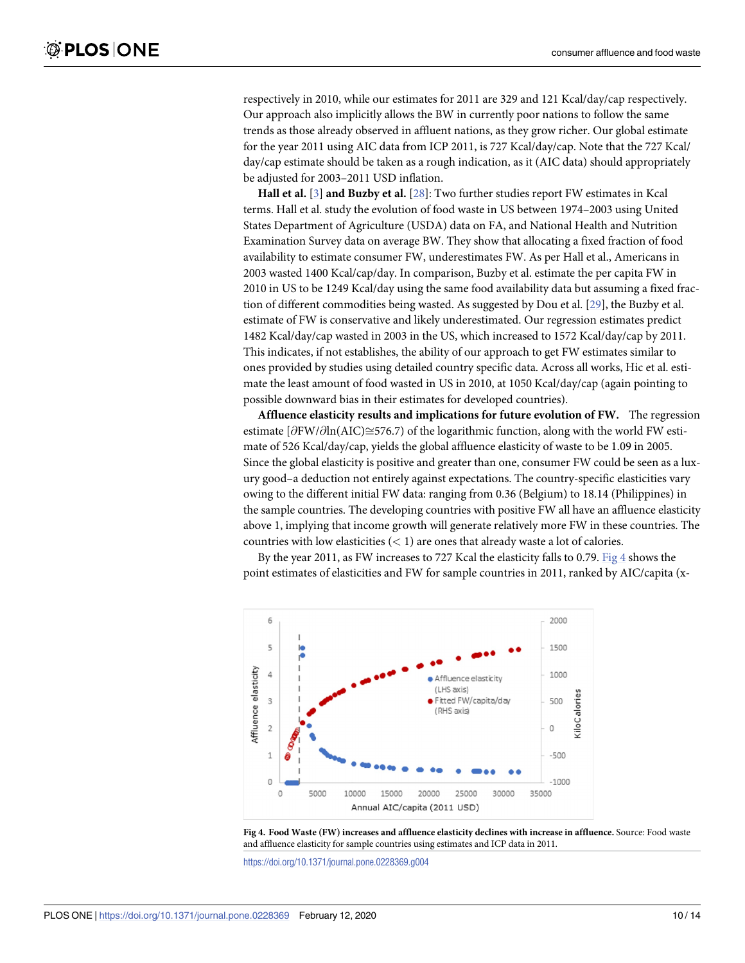<span id="page-9-0"></span>respectively in 2010, while our estimates for 2011 are 329 and 121 Kcal/day/cap respectively. Our approach also implicitly allows the BW in currently poor nations to follow the same trends as those already observed in affluent nations, as they grow richer. Our global estimate for the year 2011 using AIC data from ICP 2011, is 727 Kcal/day/cap. Note that the 727 Kcal/ day/cap estimate should be taken as a rough indication, as it (AIC data) should appropriately be adjusted for 2003–2011 USD inflation.

**Hall et al.** [[3](#page-12-0)] **and Buzby et al.** [[28](#page-13-0)]: Two further studies report FW estimates in Kcal terms. Hall et al. study the evolution of food waste in US between 1974–2003 using United States Department of Agriculture (USDA) data on FA, and National Health and Nutrition Examination Survey data on average BW. They show that allocating a fixed fraction of food availability to estimate consumer FW, underestimates FW. As per Hall et al., Americans in 2003 wasted 1400 Kcal/cap/day. In comparison, Buzby et al. estimate the per capita FW in 2010 in US to be 1249 Kcal/day using the same food availability data but assuming a fixed fraction of different commodities being wasted. As suggested by Dou et al. [[29](#page-13-0)], the Buzby et al. estimate of FW is conservative and likely underestimated. Our regression estimates predict 1482 Kcal/day/cap wasted in 2003 in the US, which increased to 1572 Kcal/day/cap by 2011. This indicates, if not establishes, the ability of our approach to get FW estimates similar to ones provided by studies using detailed country specific data. Across all works, Hic et al. estimate the least amount of food wasted in US in 2010, at 1050 Kcal/day/cap (again pointing to possible downward bias in their estimates for developed countries).

**Affluence elasticity results and implications for future evolution of FW.** The regression estimate  $\partial FW/\partial \ln(AC) \cong 576.7$  of the logarithmic function, along with the world FW estimate of 526 Kcal/day/cap, yields the global affluence elasticity of waste to be 1.09 in 2005. Since the global elasticity is positive and greater than one, consumer FW could be seen as a luxury good–a deduction not entirely against expectations. The country-specific elasticities vary owing to the different initial FW data: ranging from 0.36 (Belgium) to 18.14 (Philippines) in the sample countries. The developing countries with positive FW all have an affluence elasticity above 1, implying that income growth will generate relatively more FW in these countries. The countries with low elasticities (*<* 1) are ones that already waste a lot of calories.

By the year 2011, as FW increases to 727 Kcal the elasticity falls to 0.79. Fig 4 shows the point estimates of elasticities and FW for sample countries in 2011, ranked by AIC/capita (x-



**Fig 4. Food Waste (FW) increases and affluence elasticity declines with increase in affluence.** Source: Food waste and affluence elasticity for sample countries using estimates and ICP data in 2011.

<https://doi.org/10.1371/journal.pone.0228369.g004>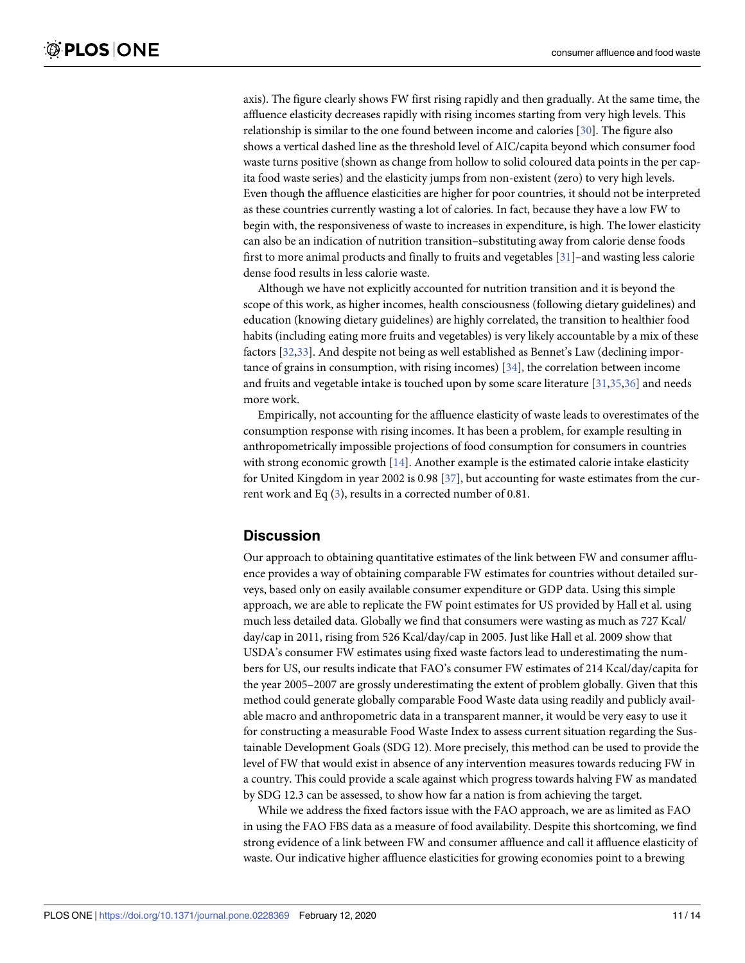<span id="page-10-0"></span>axis). The figure clearly shows FW first rising rapidly and then gradually. At the same time, the affluence elasticity decreases rapidly with rising incomes starting from very high levels. This relationship is similar to the one found between income and calories [[30](#page-13-0)]. The figure also shows a vertical dashed line as the threshold level of AIC/capita beyond which consumer food waste turns positive (shown as change from hollow to solid coloured data points in the per capita food waste series) and the elasticity jumps from non-existent (zero) to very high levels. Even though the affluence elasticities are higher for poor countries, it should not be interpreted as these countries currently wasting a lot of calories. In fact, because they have a low FW to begin with, the responsiveness of waste to increases in expenditure, is high. The lower elasticity can also be an indication of nutrition transition–substituting away from calorie dense foods first to more animal products and finally to fruits and vegetables [\[31\]](#page-13-0)–and wasting less calorie dense food results in less calorie waste.

Although we have not explicitly accounted for nutrition transition and it is beyond the scope of this work, as higher incomes, health consciousness (following dietary guidelines) and education (knowing dietary guidelines) are highly correlated, the transition to healthier food habits (including eating more fruits and vegetables) is very likely accountable by a mix of these factors [\[32,33\]](#page-13-0). And despite not being as well established as Bennet's Law (declining importance of grains in consumption, with rising incomes) [[34](#page-13-0)], the correlation between income and fruits and vegetable intake is touched upon by some scare literature [[31,35,36\]](#page-13-0) and needs more work.

Empirically, not accounting for the affluence elasticity of waste leads to overestimates of the consumption response with rising incomes. It has been a problem, for example resulting in anthropometrically impossible projections of food consumption for consumers in countries with strong economic growth  $[14]$ . Another example is the estimated calorie intake elasticity for United Kingdom in year 2002 is 0.98 [[37](#page-13-0)], but accounting for waste estimates from the current work and Eq [\(3\)](#page-3-0), results in a corrected number of 0.81.

#### **Discussion**

Our approach to obtaining quantitative estimates of the link between FW and consumer affluence provides a way of obtaining comparable FW estimates for countries without detailed surveys, based only on easily available consumer expenditure or GDP data. Using this simple approach, we are able to replicate the FW point estimates for US provided by Hall et al. using much less detailed data. Globally we find that consumers were wasting as much as 727 Kcal/ day/cap in 2011, rising from 526 Kcal/day/cap in 2005. Just like Hall et al. 2009 show that USDA's consumer FW estimates using fixed waste factors lead to underestimating the numbers for US, our results indicate that FAO's consumer FW estimates of 214 Kcal/day/capita for the year 2005–2007 are grossly underestimating the extent of problem globally. Given that this method could generate globally comparable Food Waste data using readily and publicly available macro and anthropometric data in a transparent manner, it would be very easy to use it for constructing a measurable Food Waste Index to assess current situation regarding the Sustainable Development Goals (SDG 12). More precisely, this method can be used to provide the level of FW that would exist in absence of any intervention measures towards reducing FW in a country. This could provide a scale against which progress towards halving FW as mandated by SDG 12.3 can be assessed, to show how far a nation is from achieving the target.

While we address the fixed factors issue with the FAO approach, we are as limited as FAO in using the FAO FBS data as a measure of food availability. Despite this shortcoming, we find strong evidence of a link between FW and consumer affluence and call it affluence elasticity of waste. Our indicative higher affluence elasticities for growing economies point to a brewing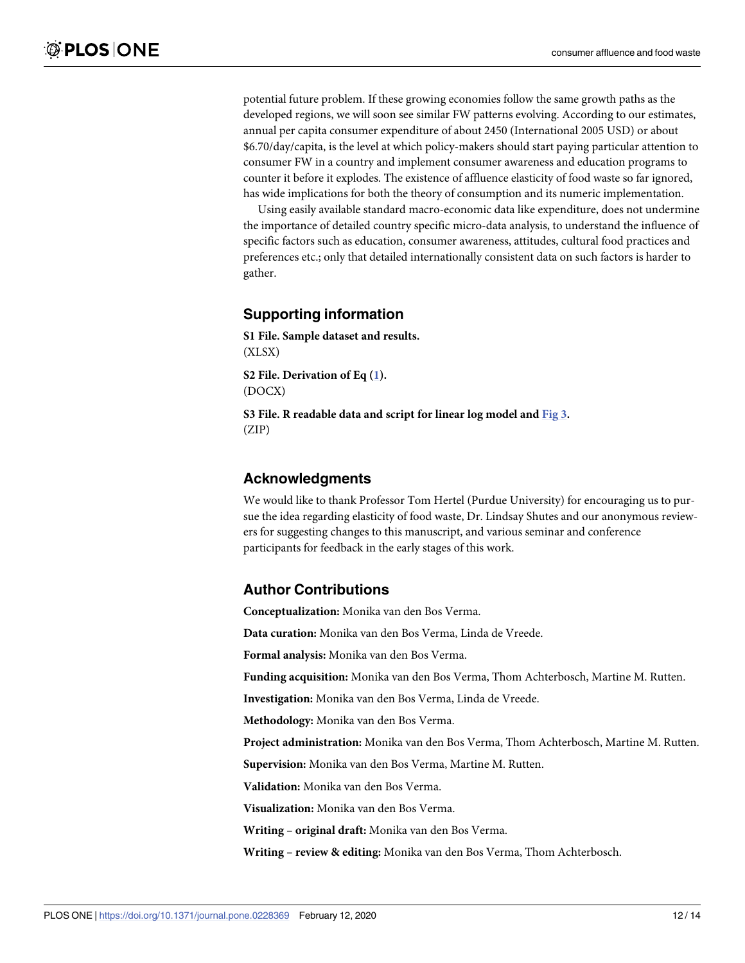<span id="page-11-0"></span>potential future problem. If these growing economies follow the same growth paths as the developed regions, we will soon see similar FW patterns evolving. According to our estimates, annual per capita consumer expenditure of about 2450 (International 2005 USD) or about \$6.70/day/capita, is the level at which policy-makers should start paying particular attention to consumer FW in a country and implement consumer awareness and education programs to counter it before it explodes. The existence of affluence elasticity of food waste so far ignored, has wide implications for both the theory of consumption and its numeric implementation.

Using easily available standard macro-economic data like expenditure, does not undermine the importance of detailed country specific micro-data analysis, to understand the influence of specific factors such as education, consumer awareness, attitudes, cultural food practices and preferences etc.; only that detailed internationally consistent data on such factors is harder to gather.

# **Supporting information**

**S1 [File.](http://www.plosone.org/article/fetchSingleRepresentation.action?uri=info:doi/10.1371/journal.pone.0228369.s001) Sample dataset and results.** (XLSX)

**S2 [File.](http://www.plosone.org/article/fetchSingleRepresentation.action?uri=info:doi/10.1371/journal.pone.0228369.s002) Derivation of Eq [\(1](#page-2-0)).** (DOCX)

**S3 [File.](http://www.plosone.org/article/fetchSingleRepresentation.action?uri=info:doi/10.1371/journal.pone.0228369.s003) R readable data and script for linear log model and [Fig](#page-7-0) 3.** (ZIP)

## **Acknowledgments**

We would like to thank Professor Tom Hertel (Purdue University) for encouraging us to pursue the idea regarding elasticity of food waste, Dr. Lindsay Shutes and our anonymous reviewers for suggesting changes to this manuscript, and various seminar and conference participants for feedback in the early stages of this work.

### **Author Contributions**

**Conceptualization:** Monika van den Bos Verma.

**Data curation:** Monika van den Bos Verma, Linda de Vreede.

**Formal analysis:** Monika van den Bos Verma.

**Funding acquisition:** Monika van den Bos Verma, Thom Achterbosch, Martine M. Rutten.

**Investigation:** Monika van den Bos Verma, Linda de Vreede.

**Methodology:** Monika van den Bos Verma.

**Project administration:** Monika van den Bos Verma, Thom Achterbosch, Martine M. Rutten.

**Supervision:** Monika van den Bos Verma, Martine M. Rutten.

**Validation:** Monika van den Bos Verma.

**Visualization:** Monika van den Bos Verma.

**Writing – original draft:** Monika van den Bos Verma.

**Writing – review & editing:** Monika van den Bos Verma, Thom Achterbosch.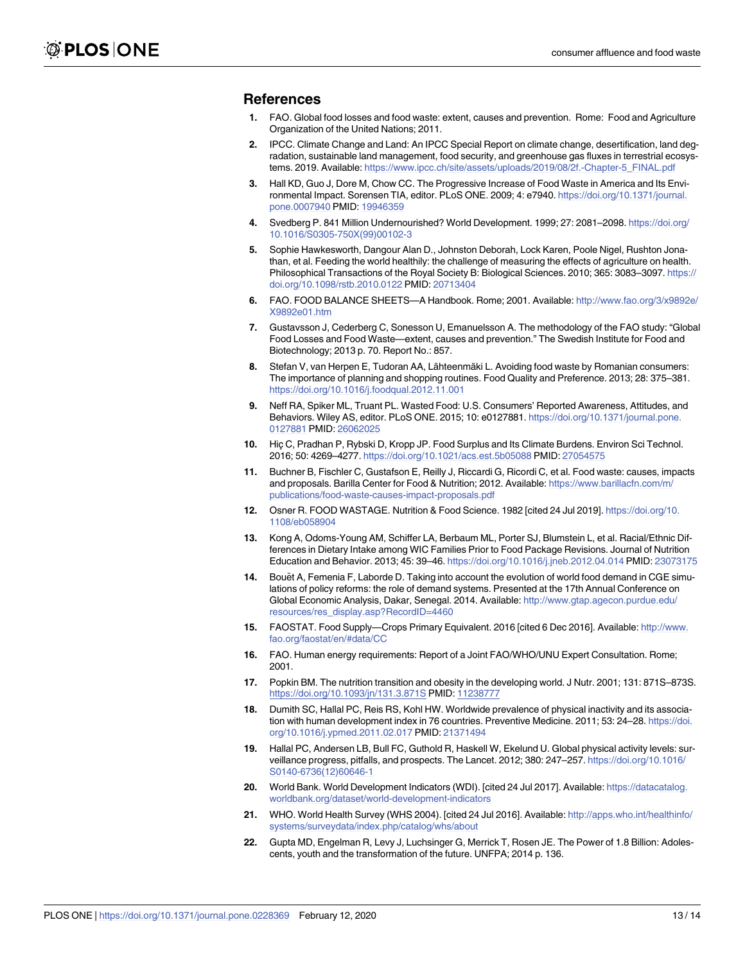#### <span id="page-12-0"></span>**References**

- **[1](#page-0-0).** FAO. Global food losses and food waste: extent, causes and prevention. Rome: Food and Agriculture Organization of the United Nations; 2011.
- **[2](#page-0-0).** IPCC. Climate Change and Land: An IPCC Special Report on climate change, desertification, land degradation, sustainable land management, food security, and greenhouse gas fluxes in terrestrial ecosystems. 2019. Available: [https://www.ipcc.ch/site/assets/uploads/2019/08/2f.-Chapter-5\\_FINAL.pdf](https://www.ipcc.ch/site/assets/uploads/2019/08/2f.-Chapter-5_FINAL.pdf)
- **[3](#page-0-0).** Hall KD, Guo J, Dore M, Chow CC. The Progressive Increase of Food Waste in America and Its Environmental Impact. Sorensen TIA, editor. PLoS ONE. 2009; 4: e7940. [https://doi.org/10.1371/journal.](https://doi.org/10.1371/journal.pone.0007940) [pone.0007940](https://doi.org/10.1371/journal.pone.0007940) PMID: [19946359](http://www.ncbi.nlm.nih.gov/pubmed/19946359)
- **4.** Svedberg P. 841 Million Undernourished? World Development. 1999; 27: 2081–2098. [https://doi.org/](https://doi.org/10.1016/S0305-750X(99)00102-3) [10.1016/S0305-750X\(99\)00102-3](https://doi.org/10.1016/S0305-750X(99)00102-3)
- **5.** Sophie Hawkesworth, Dangour Alan D., Johnston Deborah, Lock Karen, Poole Nigel, Rushton Jonathan, et al. Feeding the world healthily: the challenge of measuring the effects of agriculture on health. Philosophical Transactions of the Royal Society B: Biological Sciences. 2010; 365: 3083–3097. [https://](https://doi.org/10.1098/rstb.2010.0122) [doi.org/10.1098/rstb.2010.0122](https://doi.org/10.1098/rstb.2010.0122) PMID: [20713404](http://www.ncbi.nlm.nih.gov/pubmed/20713404)
- **[6](#page-0-0).** FAO. FOOD BALANCE SHEETS—A Handbook. Rome; 2001. Available: [http://www.fao.org/3/x9892e/](http://www.fao.org/3/x9892e/X9892e01.htm) [X9892e01.htm](http://www.fao.org/3/x9892e/X9892e01.htm)
- **[7](#page-0-0).** Gustavsson J, Cederberg C, Sonesson U, Emanuelsson A. The methodology of the FAO study: "Global Food Losses and Food Waste—extent, causes and prevention." The Swedish Institute for Food and Biotechnology; 2013 p. 70. Report No.: 857.
- [8](#page-1-0). Stefan V, van Herpen E, Tudoran AA, Lähteenmäki L. Avoiding food waste by Romanian consumers: The importance of planning and shopping routines. Food Quality and Preference. 2013; 28: 375–381. <https://doi.org/10.1016/j.foodqual.2012.11.001>
- **[9](#page-1-0).** Neff RA, Spiker ML, Truant PL. Wasted Food: U.S. Consumers' Reported Awareness, Attitudes, and Behaviors. Wiley AS, editor. PLoS ONE. 2015; 10: e0127881. [https://doi.org/10.1371/journal.pone.](https://doi.org/10.1371/journal.pone.0127881) [0127881](https://doi.org/10.1371/journal.pone.0127881) PMID: [26062025](http://www.ncbi.nlm.nih.gov/pubmed/26062025)
- **[10](#page-1-0).** Hic C, Pradhan P, Rybski D, Kropp JP. Food Surplus and Its Climate Burdens. Environ Sci Technol. 2016; 50: 4269–4277. <https://doi.org/10.1021/acs.est.5b05088> PMID: [27054575](http://www.ncbi.nlm.nih.gov/pubmed/27054575)
- **[11](#page-1-0).** Buchner B, Fischler C, Gustafson E, Reilly J, Riccardi G, Ricordi C, et al. Food waste: causes, impacts and proposals. Barilla Center for Food & Nutrition; 2012. Available: [https://www.barillacfn.com/m/](https://www.barillacfn.com/m/publications/food-waste-causes-impact-proposals.pdf) [publications/food-waste-causes-impact-proposals.pdf](https://www.barillacfn.com/m/publications/food-waste-causes-impact-proposals.pdf)
- **[12](#page-1-0).** Osner R. FOOD WASTAGE. Nutrition & Food Science. 1982 [cited 24 Jul 2019]. [https://doi.org/10.](https://doi.org/10.1108/eb058904) [1108/eb058904](https://doi.org/10.1108/eb058904)
- **[13](#page-2-0).** Kong A, Odoms-Young AM, Schiffer LA, Berbaum ML, Porter SJ, Blumstein L, et al. Racial/Ethnic Differences in Dietary Intake among WIC Families Prior to Food Package Revisions. Journal of Nutrition Education and Behavior. 2013; 45: 39–46. <https://doi.org/10.1016/j.jneb.2012.04.014> PMID: [23073175](http://www.ncbi.nlm.nih.gov/pubmed/23073175)
- **[14](#page-3-0).** Bouët A, Femenia F, Laborde D. Taking into account the evolution of world food demand in CGE simulations of policy reforms: the role of demand systems. Presented at the 17th Annual Conference on Global Economic Analysis, Dakar, Senegal. 2014. Available: [http://www.gtap.agecon.purdue.edu/](http://www.gtap.agecon.purdue.edu/resources/res_display.asp?RecordID=4460) [resources/res\\_display.asp?RecordID=4460](http://www.gtap.agecon.purdue.edu/resources/res_display.asp?RecordID=4460)
- **[15](#page-3-0).** FAOSTAT. Food Supply—Crops Primary Equivalent. 2016 [cited 6 Dec 2016]. Available: [http://www.](http://www.fao.org/faostat/en/#data/CC) [fao.org/faostat/en/#data/CC](http://www.fao.org/faostat/en/#data/CC)
- **[16](#page-4-0).** FAO. Human energy requirements: Report of a Joint FAO/WHO/UNU Expert Consultation. Rome; 2001.
- **[17](#page-4-0).** Popkin BM. The nutrition transition and obesity in the developing world. J Nutr. 2001; 131: 871S–873S. <https://doi.org/10.1093/jn/131.3.871S> PMID: [11238777](http://www.ncbi.nlm.nih.gov/pubmed/11238777)
- **[18](#page-4-0).** Dumith SC, Hallal PC, Reis RS, Kohl HW. Worldwide prevalence of physical inactivity and its association with human development index in 76 countries. Preventive Medicine. 2011; 53: 24-28. [https://doi.](https://doi.org/10.1016/j.ypmed.2011.02.017) [org/10.1016/j.ypmed.2011.02.017](https://doi.org/10.1016/j.ypmed.2011.02.017) PMID: [21371494](http://www.ncbi.nlm.nih.gov/pubmed/21371494)
- **[19](#page-4-0).** Hallal PC, Andersen LB, Bull FC, Guthold R, Haskell W, Ekelund U. Global physical activity levels: surveillance progress, pitfalls, and prospects. The Lancet. 2012; 380: 247–257. [https://doi.org/10.1016/](https://doi.org/10.1016/S0140-6736(12)60646-1) [S0140-6736\(12\)60646-1](https://doi.org/10.1016/S0140-6736(12)60646-1)
- **[20](#page-4-0).** World Bank. World Development Indicators (WDI). [cited 24 Jul 2017]. Available: [https://datacatalog.](https://datacatalog.worldbank.org/dataset/world-development-indicators) [worldbank.org/dataset/world-development-indicators](https://datacatalog.worldbank.org/dataset/world-development-indicators)
- **[21](#page-4-0).** WHO. World Health Survey (WHS 2004). [cited 24 Jul 2016]. Available: [http://apps.who.int/healthinfo/](http://apps.who.int/healthinfo/systems/surveydata/index.php/catalog/whs/about) [systems/surveydata/index.php/catalog/whs/about](http://apps.who.int/healthinfo/systems/surveydata/index.php/catalog/whs/about)
- **[22](#page-4-0).** Gupta MD, Engelman R, Levy J, Luchsinger G, Merrick T, Rosen JE. The Power of 1.8 Billion: Adolescents, youth and the transformation of the future. UNFPA; 2014 p. 136.